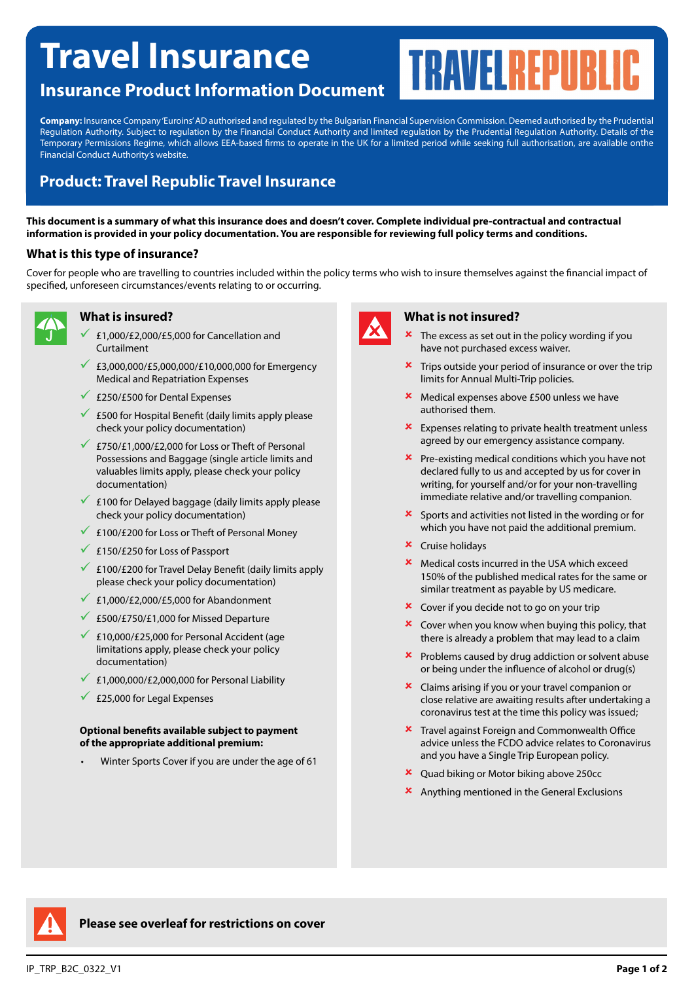# **Travel Insurance**

**Company:** Insurance Company 'Euroins' AD authorised and regulated by the Bulgarian Financial Supervision Commission. Deemed authorised by the Prudential Regulation Authority. Subject to regulation by the Financial Conduct Authority and limited regulation by the Prudential Regulation Authority. Details of the Temporary Permissions Regime, which allows EEA-based firms to operate in the UK for a limited period while seeking full authorisation, are available onthe Financial Conduct Authority's website.

## **Product: Travel Republic Travel Insurance**

**Insurance Product Information Document**

**This document is a summary of what this insurance does and doesn't cover. Complete individual pre-contractual and contractual information is provided in your policy documentation. You are responsible for reviewing full policy terms and conditions.**

#### **What is this type of insurance?**

Cover for people who are travelling to countries included within the policy terms who wish to insure themselves against the financial impact of specified, unforeseen circumstances/events relating to or occurring.



### **What is insured?**

- 9 £1,000/£2,000/£5,000 for Cancellation and Curtailment
- $€3,000,000/E5,000,000/E10,000,000$  for Emergency Medical and Repatriation Expenses
- $\times$  £250/£500 for Dental Expenses
- $\checkmark$  £500 for Hospital Benefit (daily limits apply please check your policy documentation)
- £750/£1,000/£2,000 for Loss or Theft of Personal Possessions and Baggage (single article limits and valuables limits apply, please check your policy documentation)
- $\checkmark$  £100 for Delayed baggage (daily limits apply please check your policy documentation)
- $\times$  £100/£200 for Loss or Theft of Personal Money
- $\angle$  £150/£250 for Loss of Passport
- $\leq$  £100/£200 for Travel Delay Benefit (daily limits apply please check your policy documentation)
- $\angle$  £1,000/£2,000/£5,000 for Abandonment
- $\times$  £500/£750/£1,000 for Missed Departure
- $\angle$  £10,000/£25,000 for Personal Accident (age limitations apply, please check your policy documentation)
- $\angle$  £1,000,000/£2,000,000 for Personal Liability
- $\times$  £25,000 for Legal Expenses

#### **Optional benefits available subject to payment of the appropriate additional premium:**

• Winter Sports Cover if you are under the age of 61



#### **What is not insured?**

- The excess as set out in the policy wording if you have not purchased excess waiver.
- $\star$  Trips outside your period of insurance or over the trip limits for Annual Multi-Trip policies.
- **\*** Medical expenses above £500 unless we have authorised them.
- $\star$  Expenses relating to private health treatment unless agreed by our emergency assistance company.
- $\mathbf{\times}$  Pre-existing medical conditions which you have not declared fully to us and accepted by us for cover in writing, for yourself and/or for your non-travelling immediate relative and/or travelling companion.
- 8 Sports and activities not listed in the wording or for which you have not paid the additional premium.
- $\star$  Cruise holidays
- 8 Medical costs incurred in the USA which exceed 150% of the published medical rates for the same or similar treatment as payable by US medicare.
- $\star$  Cover if you decide not to go on your trip
- $\star$  Cover when you know when buying this policy, that there is already a problem that may lead to a claim
- $\boldsymbol{\times}$  Problems caused by drug addiction or solvent abuse or being under the influence of alcohol or drug(s)
- 8 Claims arising if you or your travel companion or close relative are awaiting results after undertaking a coronavirus test at the time this policy was issued;
- **\*** Travel against Foreign and Commonwealth Office advice unless the FCDO advice relates to Coronavirus and you have a Single Trip European policy.
- $\overline{\phantom{a}}$  Quad biking or Motor biking above 250cc
- 8 Anything mentioned in the General Exclusions



**Please see overleaf for restrictions on cover**